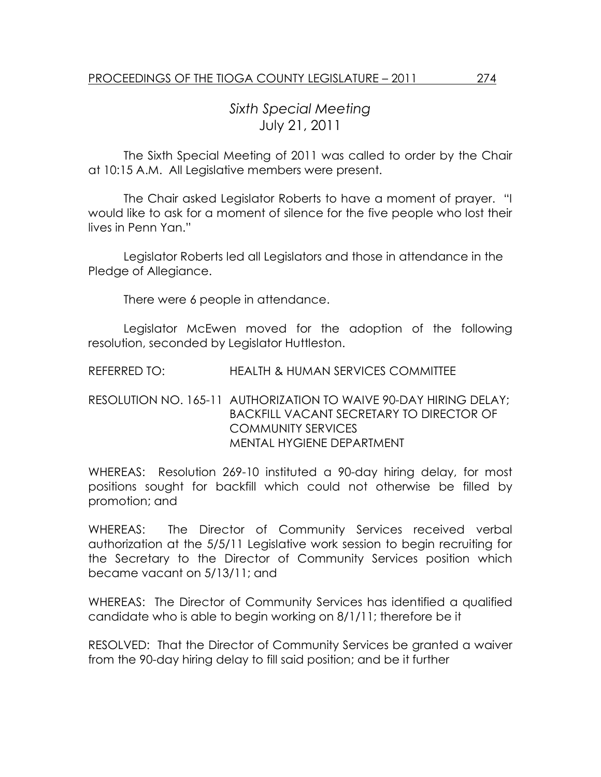## Sixth Special Meeting July 21, 2011

 The Sixth Special Meeting of 2011 was called to order by the Chair at 10:15 A.M. All Legislative members were present.

The Chair asked Legislator Roberts to have a moment of prayer. "I would like to ask for a moment of silence for the five people who lost their lives in Penn Yan."

 Legislator Roberts led all Legislators and those in attendance in the Pledge of Allegiance.

There were 6 people in attendance.

 Legislator McEwen moved for the adoption of the following resolution, seconded by Legislator Huttleston.

REFERRED TO: HEALTH & HUMAN SERVICES COMMITTEE

## RESOLUTION NO. 165-11 AUTHORIZATION TO WAIVE 90-DAY HIRING DELAY; BACKFILL VACANT SECRETARY TO DIRECTOR OF COMMUNITY SERVICES MENTAL HYGIENE DEPARTMENT

WHEREAS: Resolution 269-10 instituted a 90-day hiring delay, for most positions sought for backfill which could not otherwise be filled by promotion; and

WHEREAS: The Director of Community Services received verbal authorization at the 5/5/11 Legislative work session to begin recruiting for the Secretary to the Director of Community Services position which became vacant on 5/13/11; and

WHEREAS: The Director of Community Services has identified a qualified candidate who is able to begin working on 8/1/11; therefore be it

RESOLVED: That the Director of Community Services be granted a waiver from the 90-day hiring delay to fill said position; and be it further